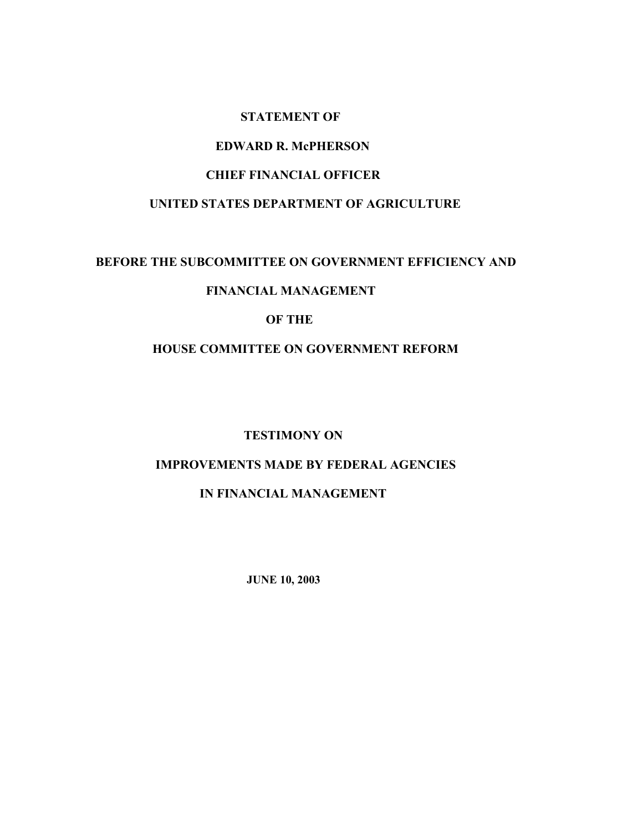#### **STATEMENT OF**

#### **EDWARD R. McPHERSON**

# **CHIEF FINANCIAL OFFICER**

#### **UNITED STATES DEPARTMENT OF AGRICULTURE**

#### **BEFORE THE SUBCOMMITTEE ON GOVERNMENT EFFICIENCY AND**

## **FINANCIAL MANAGEMENT**

#### **OF THE**

## **HOUSE COMMITTEE ON GOVERNMENT REFORM**

#### **TESTIMONY ON**

# **IMPROVEMENTS MADE BY FEDERAL AGENCIES**

## **IN FINANCIAL MANAGEMENT**

 **JUNE 10, 2003**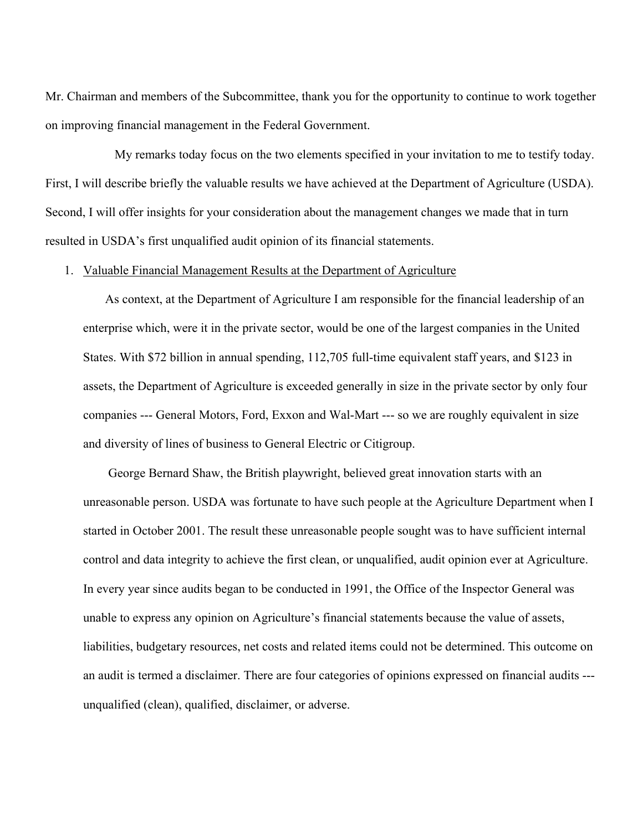Mr. Chairman and members of the Subcommittee, thank you for the opportunity to continue to work together on improving financial management in the Federal Government.

 My remarks today focus on the two elements specified in your invitation to me to testify today. First, I will describe briefly the valuable results we have achieved at the Department of Agriculture (USDA). Second, I will offer insights for your consideration about the management changes we made that in turn resulted in USDA's first unqualified audit opinion of its financial statements.

#### 1. Valuable Financial Management Results at the Department of Agriculture

 As context, at the Department of Agriculture I am responsible for the financial leadership of an enterprise which, were it in the private sector, would be one of the largest companies in the United States. With \$72 billion in annual spending, 112,705 full-time equivalent staff years, and \$123 in assets, the Department of Agriculture is exceeded generally in size in the private sector by only four companies --- General Motors, Ford, Exxon and Wal-Mart --- so we are roughly equivalent in size and diversity of lines of business to General Electric or Citigroup.

 George Bernard Shaw, the British playwright, believed great innovation starts with an unreasonable person. USDA was fortunate to have such people at the Agriculture Department when I started in October 2001. The result these unreasonable people sought was to have sufficient internal control and data integrity to achieve the first clean, or unqualified, audit opinion ever at Agriculture. In every year since audits began to be conducted in 1991, the Office of the Inspector General was unable to express any opinion on Agriculture's financial statements because the value of assets, liabilities, budgetary resources, net costs and related items could not be determined. This outcome on an audit is termed a disclaimer. There are four categories of opinions expressed on financial audits -- unqualified (clean), qualified, disclaimer, or adverse.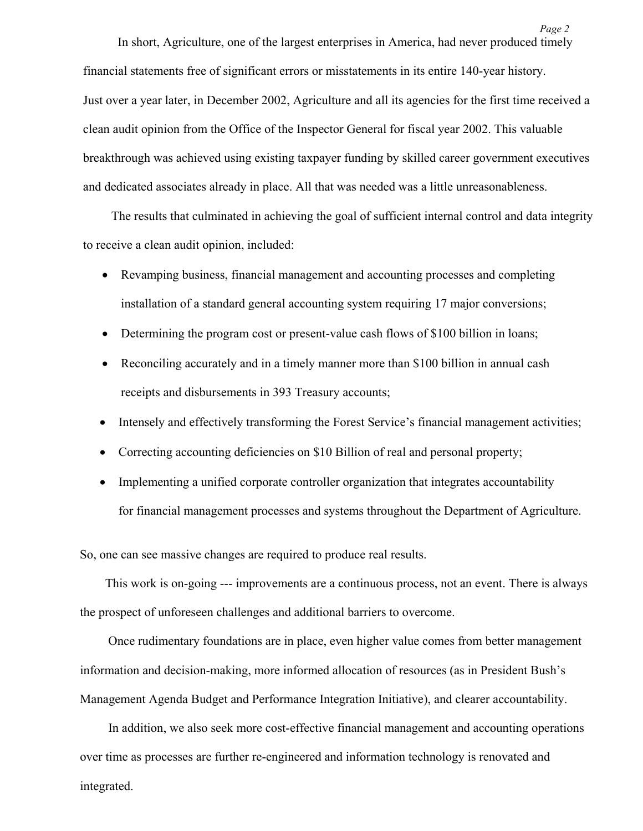In short, Agriculture, one of the largest enterprises in America, had never produced timely financial statements free of significant errors or misstatements in its entire 140-year history. Just over a year later, in December 2002, Agriculture and all its agencies for the first time received a clean audit opinion from the Office of the Inspector General for fiscal year 2002. This valuable breakthrough was achieved using existing taxpayer funding by skilled career government executives and dedicated associates already in place. All that was needed was a little unreasonableness.

 The results that culminated in achieving the goal of sufficient internal control and data integrity to receive a clean audit opinion, included:

- Revamping business, financial management and accounting processes and completing installation of a standard general accounting system requiring 17 major conversions;
- Determining the program cost or present-value cash flows of \$100 billion in loans;
- Reconciling accurately and in a timely manner more than \$100 billion in annual cash receipts and disbursements in 393 Treasury accounts;
- Intensely and effectively transforming the Forest Service's financial management activities;
- Correcting accounting deficiencies on \$10 Billion of real and personal property;
- Implementing a unified corporate controller organization that integrates accountability for financial management processes and systems throughout the Department of Agriculture.

So, one can see massive changes are required to produce real results.

 This work is on-going --- improvements are a continuous process, not an event. There is always the prospect of unforeseen challenges and additional barriers to overcome.

 Once rudimentary foundations are in place, even higher value comes from better management information and decision-making, more informed allocation of resources (as in President Bush's Management Agenda Budget and Performance Integration Initiative), and clearer accountability.

 In addition, we also seek more cost-effective financial management and accounting operations over time as processes are further re-engineered and information technology is renovated and integrated.